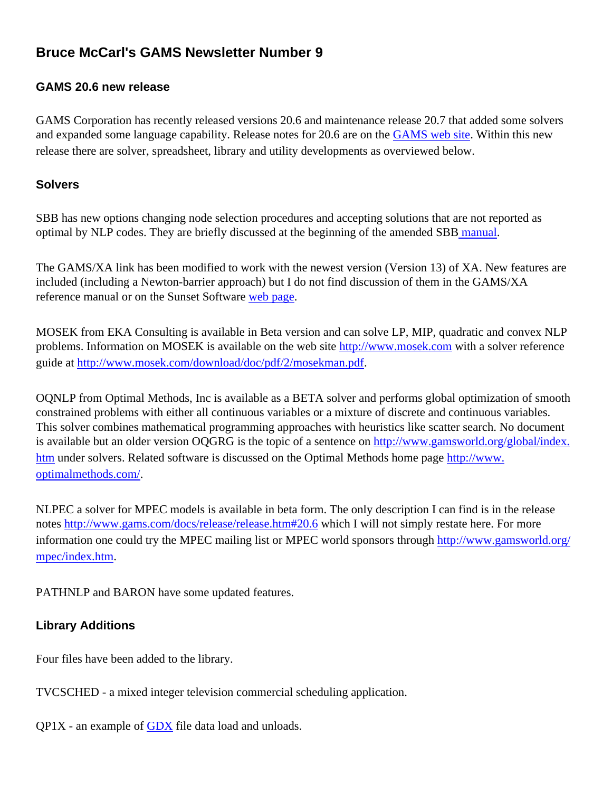# **Bruce McCarl's GAMS Newsletter Number 9**

#### **GAMS 20.6 new release**

GAMS Corporation has recently released versions 20.6 and maintenance release 20.7 that added some solvers and expanded some language capability. Release notes for 20.6 are on the [GAMS web site.](http://www.gams.com/docs/release/release.htm#20.6) Within this new release there are solver, spreadsheet, library and utility developments as overviewed below.

#### **Solvers**

SBB has new options changing node selection procedures and accepting solutions that are not reported as optimal by NLP codes. They are briefly discussed at the beginning of the amended SBB [manual](http://www.gams.com/docs/solver/sbb.pdf).

The GAMS/XA link has been modified to work with the newest version (Version 13) of XA. New features are included (including a Newton-barrier approach) but I do not find discussion of them in the GAMS/XA reference manual or on the Sunset Software [web page.](http://www.sunsetsoft.com/)

MOSEK from EKA Consulting is available in Beta version and can solve LP, MIP, quadratic and convex NLP problems. Information on MOSEK is available on the web site [http://www.mosek.com](http://www.mosek.com/) with a solver reference guide at<http://www.mosek.com/download/doc/pdf/2/mosekman.pdf>.

OQNLP from Optimal Methods, Inc is available as a BETA solver and performs global optimization of smooth constrained problems with either all continuous variables or a mixture of discrete and continuous variables. This solver combines mathematical programming approaches with heuristics like scatter search. No document is available but an older version OQGRG is the topic of a sentence on [http://www.gamsworld.org/global/index.](http://www.gamsworld.org/global/index.htm) [htm](http://www.gamsworld.org/global/index.htm) under solvers. Related software is discussed on the Optimal Methods home page [http://www.](http://www.optimalmethods.com/) [optimalmethods.com/](http://www.optimalmethods.com/).

NLPEC a solver for MPEC models is available in beta form. The only description I can find is in the release notes<http://www.gams.com/docs/release/release.htm#20.6> which I will not simply restate here. For more information one could try the MPEC mailing list or MPEC world sponsors through [http://www.gamsworld.org/](http://www.gamsworld.org/mpec/index.htm) [mpec/index.htm.](http://www.gamsworld.org/mpec/index.htm)

PATHNLP and BARON have some updated features.

### **Library Additions**

Four files have been added to the library.

TVCSCHED - a mixed integer television commercial scheduling application.

QP1X - an example of [GDX](#page-1-0) file data load and unloads.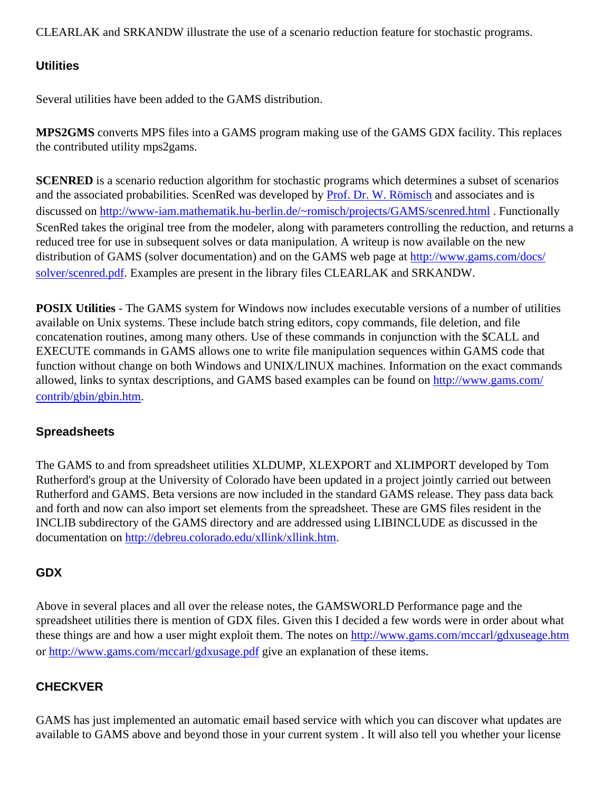CLEARLAK and SRKANDW illustrate the use of a scenario reduction feature for stochastic programs.

## **Utilities**

Several utilities have been added to the GAMS distribution.

**MPS2GMS** converts MPS files into a GAMS program making use of the GAMS GDX facility. This replaces the contributed utility mps2gams.

**SCENRED** is a scenario reduction algorithm for stochastic programs which determines a subset of scenarios and the associated probabilities. ScenRed was developed by [Prof. Dr. W. Römisch](http://www.mathematik.hu-berlin.de/~romisch/) and associates and is discussed on <http://www-iam.mathematik.hu-berlin.de/~romisch/projects/GAMS/scenred.html> . Functionally ScenRed takes the original tree from the modeler, along with parameters controlling the reduction, and returns a reduced tree for use in subsequent solves or data manipulation. A writeup is now available on the new distribution of GAMS (solver documentation) and on the GAMS web page at [http://www.gams.com/docs/](http://www.gams.com/docs/solver/scenred.pdf) [solver/scenred.pdf](http://www.gams.com/docs/solver/scenred.pdf). Examples are present in the library files CLEARLAK and SRKANDW.

**POSIX Utilities** - The GAMS system for Windows now includes executable versions of a number of utilities available on Unix systems. These include batch string editors, copy commands, file deletion, and file concatenation routines, among many others. Use of these commands in conjunction with the \$CALL and EXECUTE commands in GAMS allows one to write file manipulation sequences within GAMS code that function without change on both Windows and UNIX/LINUX machines. Information on the exact commands allowed, links to syntax descriptions, and GAMS based examples can be found on [http://www.gams.com/](http://www.gams.com/contrib/gbin/gbin.htm) [contrib/gbin/gbin.htm](http://www.gams.com/contrib/gbin/gbin.htm).

### **Spreadsheets**

The GAMS to and from spreadsheet utilities XLDUMP, XLEXPORT and XLIMPORT developed by Tom Rutherford's group at the University of Colorado have been updated in a project jointly carried out between Rutherford and GAMS. Beta versions are now included in the standard GAMS release. They pass data back and forth and now can also import set elements from the spreadsheet. These are GMS files resident in the INCLIB subdirectory of the GAMS directory and are addressed using LIBINCLUDE as discussed in the documentation on<http://debreu.colorado.edu/xllink/xllink.htm>.

### <span id="page-1-0"></span>**GDX**

Above in several places and all over the release notes, the GAMSWORLD Performance page and the spreadsheet utilities there is mention of GDX files. Given this I decided a few words were in order about what these things are and how a user might exploit them. The notes on<http://www.gams.com/mccarl/gdxuseage.htm> or <http://www.gams.com/mccarl/gdxusage.pdf> give an explanation of these items.

# **CHECKVER**

GAMS has just implemented an automatic email based service with which you can discover what updates are available to GAMS above and beyond those in your current system . It will also tell you whether your license